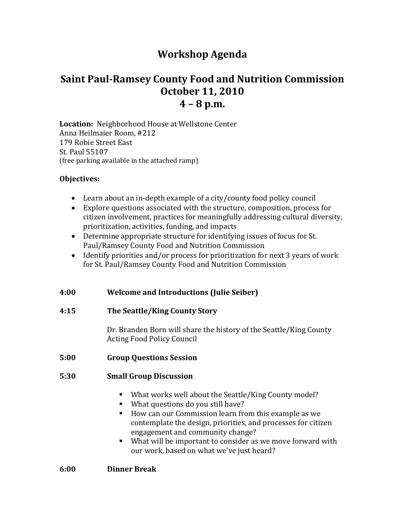# **Workshop Agenda**

# **Saint PaulRamsey County Food and Nutrition Commission October 11, 2010 4 – 8 p.m.**

**Location:** Neighborhood House at Wellstone Center Anna Heilmaier Room, #212 179 Robie Street East St. Paul 55107 (free parking available in the attached ramp)

# **Objectives:**

- Learn about an in‐depth example of a city/county food policy council
- Explore questions associated with the structure, composition, process for citizen involvement, practices for meaningfully addressing cultural diversity, prioritization, activities, funding, and impacts
- Determine appropriate structure for identifying issues of focus for St. Paul/Ramsey County Food and Nutrition Commission
- Identify priorities and/or process for prioritization for next 3 years of work for St. Paul/Ramsey County Food and Nutrition Commission

# **4:00 Welcome and Introductions (Julie Seiber)**

## **4:15 The Seattle/King County Story**

 Dr. Branden Born will share the history of the Seattle/King County Acting Food Policy Council

## **5:00 Group Questions Session**

## **5:30 Small Group Discussion**

- What works well about the Seattle/King County model?
- What questions do you still have?
- How can our Commission learn from this example as we contemplate the design, priorities, and processes for citizen engagement and community change?
- What will be important to consider as we move forward with our work, based on what we've just heard?